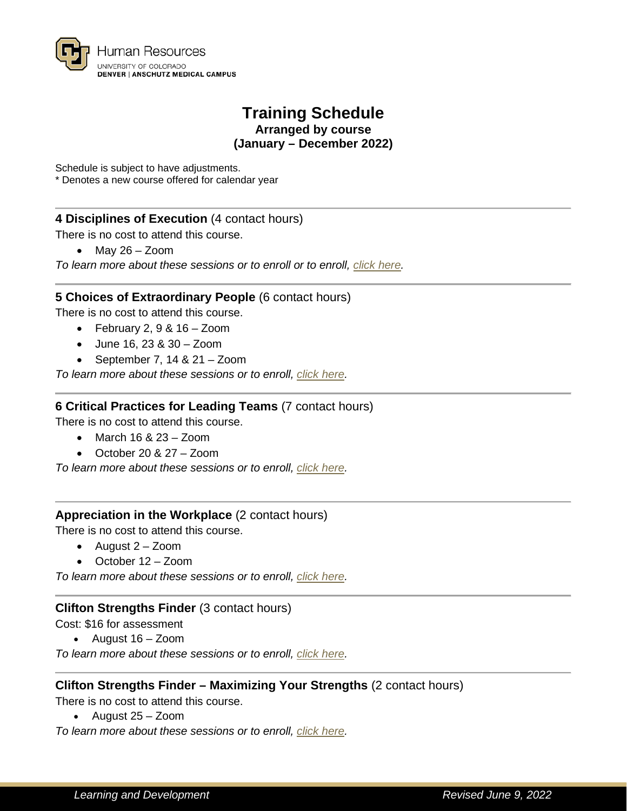

# **Training Schedule Arranged by course (January – December 2022)**

Schedule is subject to have adjustments.

\* Denotes a new course offered for calendar year

## **4 Disciplines of Execution** (4 contact hours)

There is no cost to attend this course.

• May 26 – Zoom

*To learn more about these sessions or to enroll or to enroll, [click here.](https://universityofcolorado.skillport.com/skillportfe/custom/login/saml/login.action?courseaction=launch&assetid=ilt_a00234)*

#### **5 Choices of Extraordinary People** (6 contact hours)

There is no cost to attend this course.

- February 2,  $9 & 16 Z$ oom
- June 16, 23 & 30 Zoom
- September 7, 14 & 21 Zoom

*To learn more about these sessions or to enroll, [click here.](https://universityofcolorado.skillport.com/skillportfe/custom/login/saml/login.action?courseaction=launch&assetid=ilt_a00245)*

## **6 Critical Practices for Leading Teams** (7 contact hours)

There is no cost to attend this course.

- March 16 &  $23 Z$ oom
- October 20 & 27 Zoom

*To learn more about these sessions or to enroll, [click here.](https://universityofcolorado.skillport.com/skillportfe/custom/login/saml/login.action?courseaction=launch&assetid=ilt_a00263)*

#### **Appreciation in the Workplace** (2 contact hours)

There is no cost to attend this course.

- August 2 Zoom
- October 12 Zoom

*To learn more about these sessions or to enroll, [click here.](https://universityofcolorado.skillport.com/skillportfe/custom/login/saml/login.action?courseaction=launch&assetid=ilt_a00283)*

#### **Clifton Strengths Finder** (3 contact hours)

Cost: \$16 for assessment

• August 16 – Zoom

*To learn more about these sessions or to enroll, [click here.](https://universityofcolorado.skillport.com/skillportfe/custom/login/saml/login.action?courseaction=launch&assetid=ilt_a00236)*

## **Clifton Strengths Finder – Maximizing Your Strengths** (2 contact hours)

There is no cost to attend this course.

• August 25 – Zoom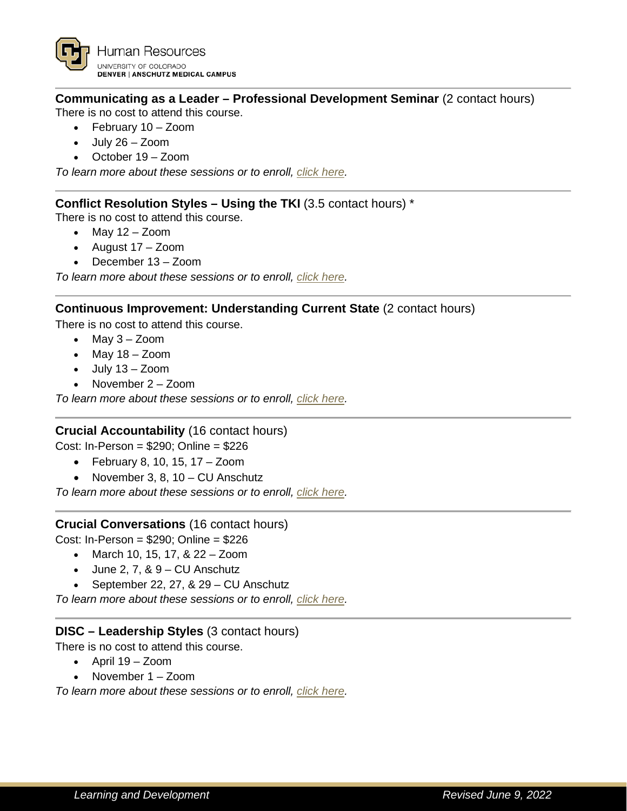# **Communicating as a Leader – Professional Development Seminar** (2 contact hours)

There is no cost to attend this course.

- February 10 Zoom
- July 26 Zoom
- October 19 Zoom

*To learn more about these sessions or to enroll, [click here.](https://universityofcolorado.skillport.com/skillportfe/custom/login/saml/login.action?courseaction=launch&assetid=ilt_a00250)*

## **Conflict Resolution Styles – Using the TKI** (3.5 contact hours) \*

There is no cost to attend this course.

- $\bullet$  May 12 Zoom
- August 17 Zoom
- December 13 Zoom

*To learn more about these sessions or to enroll, [click here.](https://universityofcolorado.skillport.com/skillportfe/custom/login/saml/login.action?courseaction=launch&assetid=ilt_a00281)*

# **Continuous Improvement: Understanding Current State** (2 contact hours)

There is no cost to attend this course.

- May 3 Zoom
- May 18 Zoom
- July 13 Zoom
- November 2 Zoom

*To learn more about these sessions or to enroll, [click here.](https://universityofcolorado.skillport.com/skillportfe/custom/login/saml/login.action?courseaction=launch&assetid=ilt_a00261)*

## **Crucial Accountability** (16 contact hours)

Cost: In-Person = \$290; Online = \$226

- February 8, 10, 15, 17 Zoom
- November 3, 8, 10 CU Anschutz

*To learn more about these sessions or to enroll, [click here.](https://universityofcolorado.skillport.com/skillportfe/custom/login/saml/login.action?courseaction=launch&assetid=ilt_a00231)*

## **Crucial Conversations** (16 contact hours)

Cost: In-Person = \$290; Online = \$226

- March 10, 15, 17, & 22 Zoom
- $\bullet$  June 2, 7, &  $9 \text{CU}$  Anschutz
- September 22, 27, & 29 CU Anschutz

*To learn more about these sessions or to enroll, [click here.](https://universityofcolorado.skillport.com/skillportfe/custom/login/saml/login.action?courseaction=launch&assetid=ilt_a00149)*

## **DISC – Leadership Styles** (3 contact hours)

There is no cost to attend this course.

- April 19 Zoom
- November 1 Zoom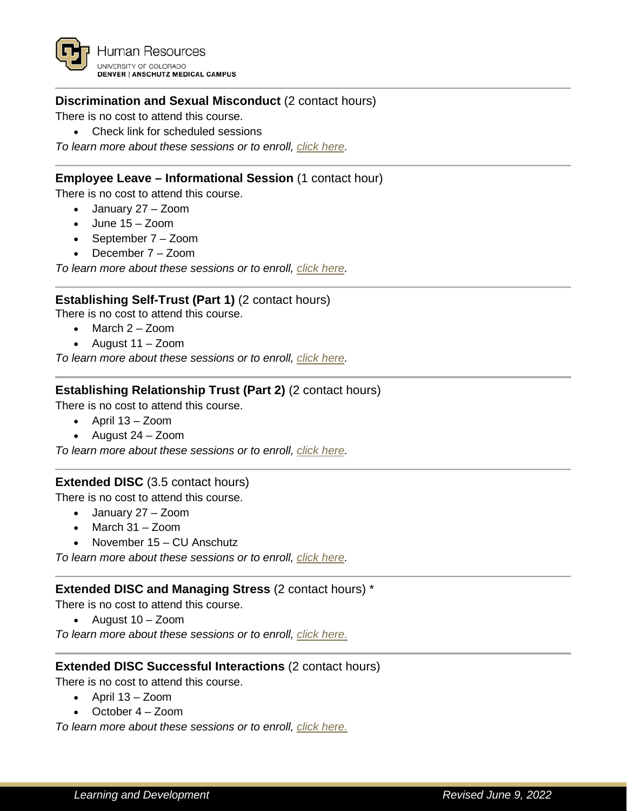

# **Discrimination and Sexual Misconduct** (2 contact hours)

There is no cost to attend this course.

• Check link for scheduled sessions

*To learn more about these sessions or to enroll, [click here.](https://universityofcolorado.skillport.com/skillportfe/custom/login/saml/login.action?courseaction=launch&assetid=ilt_s20006)*

#### **Employee Leave – Informational Session** (1 contact hour)

There is no cost to attend this course.

- January 27 Zoom
- June 15 Zoom
- September 7 Zoom
- December 7 Zoom

*To learn more about these sessions or to enroll, [click here.](https://cvent.me/lzQEdN)*

#### **Establishing Self-Trust (Part 1)** (2 contact hours)

There is no cost to attend this course.

- March 2 Zoom
- August 11 Zoom

*To learn more about these sessions or to enroll, [click here.](https://universityofcolorado.skillport.com/skillportfe/custom/login/saml/login.action?courseaction=launch&assetid=ilt_a00248)*

#### **Establishing Relationship Trust (Part 2)** (2 contact hours)

There is no cost to attend this course.

- April 13 Zoom
- August 24 Zoom

*To learn more about these sessions or to enroll, [click here.](https://universityofcolorado.skillport.com/skillportfe/custom/login/saml/login.action?courseaction=launch&assetid=ilt_a00249)*

#### **Extended DISC** (3.5 contact hours)

There is no cost to attend this course.

- January 27 Zoom
- March 31 Zoom
- November 15 CU Anschutz

*To learn more about these sessions or to enroll, [click here.](https://universityofcolorado.skillport.com/skillportfe/custom/login/saml/login.action?courseaction=launch&assetid=ilt_a00228)*

#### **Extended DISC and Managing Stress** (2 contact hours) \*

There is no cost to attend this course.

• August 10 – Zoom

*To learn more about these sessions or to enroll, [click here.](https://universityofcolorado.skillport.com/skillportfe/custom/login/saml/login.action?courseaction=launch&assetid=ilt_a00279)*

#### **Extended DISC Successful Interactions** (2 contact hours)

There is no cost to attend this course.

- April 13 Zoom
- October 4 Zoom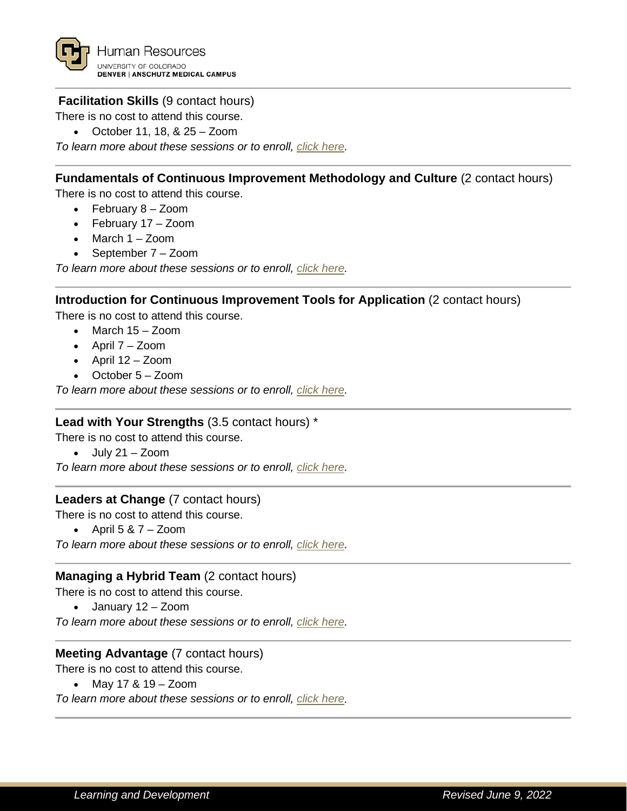

## **Facilitation Skills** (9 contact hours)

There is no cost to attend this course.

• October 11, 18, & 25 – Zoom

*To learn more about these sessions or to enroll, [click here.](https://universityofcolorado.skillport.com/skillportfe/custom/login/saml/login.action?courseaction=launch&assetid=ilt_a00252)*

## **Fundamentals of Continuous Improvement Methodology and Culture** (2 contact hours)

There is no cost to attend this course.

- February 8 Zoom
- February 17 Zoom
- March 1 Zoom
- September 7 Zoom

*To learn more about these sessions or to enroll, [click here.](https://universityofcolorado.skillport.com/skillportfe/custom/login/saml/login.action?courseaction=launch&assetid=ilt_a00259)*

#### **Introduction for Continuous Improvement Tools for Application** (2 contact hours)

There is no cost to attend this course.

- March 15 Zoom
- April 7 Zoom
- April 12 Zoom
- October 5 Zoom

*To learn more about these sessions or to enroll, [click here.](https://universityofcolorado.skillport.com/skillportfe/custom/login/saml/login.action?courseaction=launch&assetid=ilt_a00260)*

#### **Lead with Your Strengths** (3.5 contact hours) \*

There is no cost to attend this course.

 $\bullet$  July 21 – Zoom

*To learn more about these sessions or to enroll, [click here.](https://universityofcolorado.skillport.com/skillportfe/custom/login/saml/login.action?courseaction=launch&assetid=ilt_a00280)*

#### **Leaders at Change** (7 contact hours)

There is no cost to attend this course.

• April  $5 & 7 - Z$ oom

*To learn more about these sessions or to enroll, [click here.](https://universityofcolorado.skillport.com/skillportfe/custom/login/saml/login.action?courseaction=launch&assetid=ilt_a00251)*

#### **Managing a Hybrid Team** (2 contact hours)

There is no cost to attend this course.

• January 12 – Zoom

*To learn more about these sessions or to enroll, [click here.](https://universityofcolorado.skillport.com/skillportfe/custom/login/saml/login.action?courseaction=launch&assetid=ilt_a00278)*

# **Meeting Advantage** (7 contact hours)

There is no cost to attend this course.

• May 17 & 19 – Zoom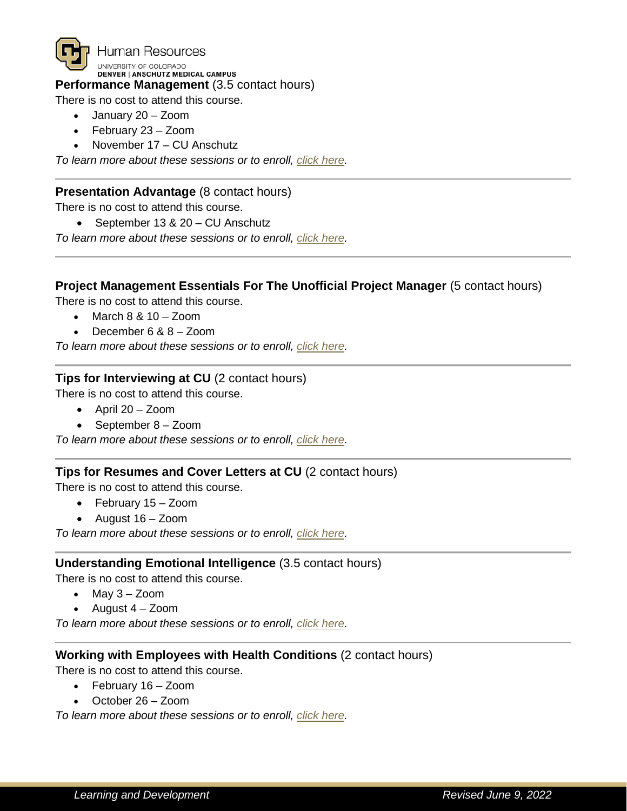

Human Resources UNIVERSITY OF COLORADO DENVER | ANSCHUTZ MEDICAL CAMPUS

## **Performance Management** (3.5 contact hours)

There is no cost to attend this course.

- January 20 Zoom
- February 23 Zoom
- November 17 CU Anschutz

*To learn more about these sessions or to enroll, [click here.](https://universityofcolorado.skillport.com/skillportfe/custom/login/saml/login.action?courseaction=launch&assetid=ilt_b60010)*

## **Presentation Advantage** (8 contact hours)

There is no cost to attend this course.

• September 13 & 20 – CU Anschutz

*To learn more about these sessions or to enroll, [click here.](https://universityofcolorado.skillport.com/skillportfe/custom/login/saml/login.action?courseaction=launch&assetid=ilt_a00244)*

#### **Project Management Essentials For The Unofficial Project Manager** (5 contact hours)

There is no cost to attend this course.

- March 8 & 10 Zoom
- December 6 & 8 Zoom

*To learn more about these sessions or to enroll, [click here.](https://universityofcolorado.skillport.com/skillportfe/custom/login/saml/login.action?courseaction=launch&assetid=ilt_a00241)*

## **Tips for Interviewing at CU** (2 contact hours)

There is no cost to attend this course.

- April 20 Zoom
- September 8 Zoom

*To learn more about these sessions or to enroll, [click here.](https://universityofcolorado.skillport.com/skillportfe/custom/login/saml/login.action?courseaction=launch&assetid=ilt_a00277)*

#### **Tips for Resumes and Cover Letters at CU** (2 contact hours)

There is no cost to attend this course.

- February 15 Zoom
- August 16 Zoom

*To learn more about these sessions or to enroll, [click here.](https://universityofcolorado.skillport.com/skillportfe/custom/login/saml/login.action?courseaction=launch&assetid=ilt_a00276)*

#### **Understanding Emotional Intelligence** (3.5 contact hours)

There is no cost to attend this course.

- May 3 Zoom
- August 4 Zoom

*To learn more about these sessions or to enroll, [click here.](https://universityofcolorado.skillport.com/skillportfe/custom/login/saml/login.action?courseaction=launch&assetid=ilt_a00271)*

#### **Working with Employees with Health Conditions** (2 contact hours)

There is no cost to attend this course.

- February 16 Zoom
- October 26 Zoom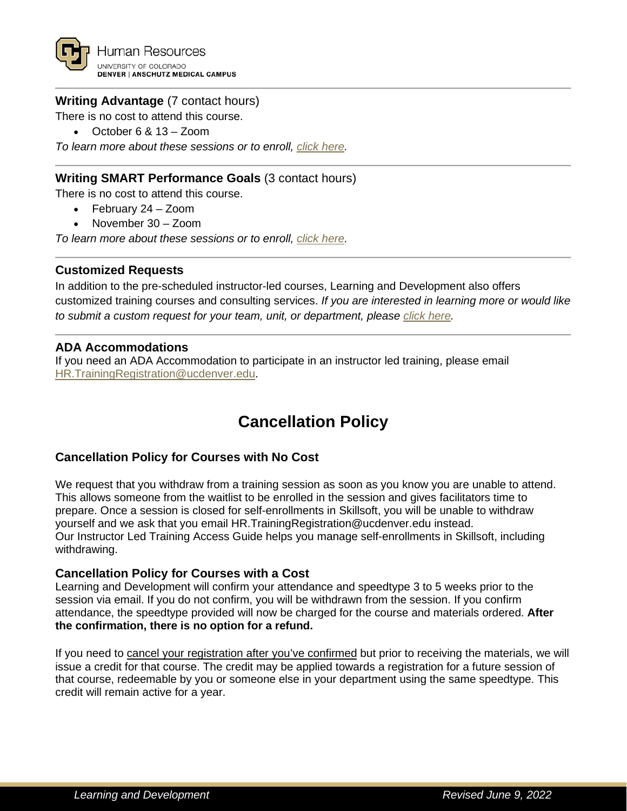

## **Writing Advantage** (7 contact hours)

There is no cost to attend this course.

• October 6 & 13 – Zoom

*To learn more about these sessions or to enroll, [click here.](https://universityofcolorado.skillport.com/skillportfe/custom/login/saml/login.action?courseaction=launch&assetid=ilt_a00242)*

## **Writing SMART Performance Goals** (3 contact hours)

There is no cost to attend this course.

- February 24 Zoom
- November 30 Zoom

*To learn more about these sessions or to enroll, [click here.](https://universityofcolorado.skillport.com/skillportfe/custom/login/saml/login.action?courseaction=launch&assetid=ilt_B60013)*

#### **Customized Requests**

In addition to the pre-scheduled instructor-led courses, Learning and Development also offers customized training courses and consulting services. *If you are interested in learning more or would like to submit a custom request for your team, unit, or department, please click [here.](https://www1.ucdenver.edu/offices/human-resources/learning-development/consulting-custom-course-services)*

#### **ADA Accommodations**

If you need an ADA Accommodation to participate in an instructor led training, please email [HR.TrainingRegistration@ucdenver.edu.](mailto:HR.TrainingRegistration@ucdenver.edu?subject=ADA%20Accommodations%20Request)

# **Cancellation Policy**

## **Cancellation Policy for Courses with No Cost**

We request that you withdraw from a training session as soon as you know you are unable to attend. This allows someone from the waitlist to be enrolled in the session and gives facilitators time to prepare. Once a session is closed for self-enrollments in Skillsoft, you will be unable to withdraw yourself and we ask that you email [HR.TrainingRegistration@ucdenver.edu](mailto:HR.TrainingRegistration@ucdenver.edu) instead. Our [Instructor Led Training Access Guide](https://www1.ucdenver.edu/docs/librariesprovider188/learning-development/instructor-led-training-access-guide.pdf?sfvrsn=173d28b9_6) helps you manage self-enrollments in Skillsoft, including withdrawing.

#### **Cancellation Policy for Courses with a Cost**

Learning and Development will confirm your attendance and speedtype 3 to 5 weeks prior to the session via email. If you do not confirm, you will be withdrawn from the session. If you confirm attendance, the speedtype provided will now be charged for the course and materials ordered. **After the confirmation, there is no option for a refund.** 

If you need to cancel your registration after you've confirmed but prior to receiving the materials, we will issue a credit for that course. The credit may be applied towards a registration for a future session of that course, redeemable by you or someone else in your department using the same speedtype. This credit will remain active for a year.